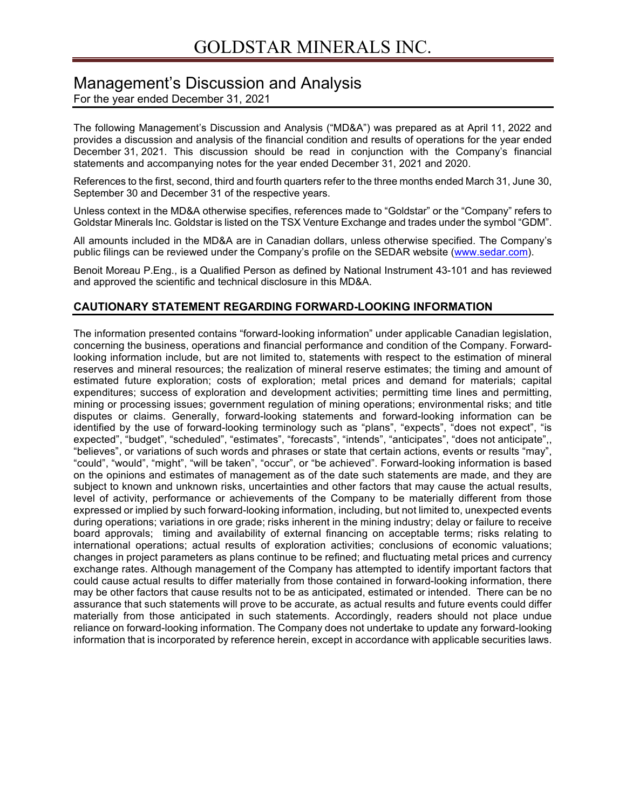# Management's Discussion and Analysis

For the year ended December 31, 2021

The following Management's Discussion and Analysis ("MD&A") was prepared as at April 11, 2022 and provides a discussion and analysis of the financial condition and results of operations for the year ended December 31, 2021. This discussion should be read in conjunction with the Company's financial statements and accompanying notes for the year ended December 31, 2021 and 2020.

References to the first, second, third and fourth quarters refer to the three months ended March 31, June 30, September 30 and December 31 of the respective years.

Unless context in the MD&A otherwise specifies, references made to "Goldstar" or the "Company" refers to Goldstar Minerals Inc. Goldstar is listed on the TSX Venture Exchange and trades under the symbol "GDM".

All amounts included in the MD&A are in Canadian dollars, unless otherwise specified. The Company's public filings can be reviewed under the Company's profile on the SEDAR website (www.sedar.com).

Benoit Moreau P.Eng., is a Qualified Person as defined by National Instrument 43-101 and has reviewed and approved the scientific and technical disclosure in this MD&A.

# **CAUTIONARY STATEMENT REGARDING FORWARD-LOOKING INFORMATION**

The information presented contains "forward-looking information" under applicable Canadian legislation, concerning the business, operations and financial performance and condition of the Company. Forwardlooking information include, but are not limited to, statements with respect to the estimation of mineral reserves and mineral resources; the realization of mineral reserve estimates; the timing and amount of estimated future exploration; costs of exploration; metal prices and demand for materials; capital expenditures; success of exploration and development activities; permitting time lines and permitting, mining or processing issues; government regulation of mining operations; environmental risks; and title disputes or claims. Generally, forward-looking statements and forward-looking information can be identified by the use of forward-looking terminology such as "plans", "expects", "does not expect", "is expected", "budget", "scheduled", "estimates", "forecasts", "intends", "anticipates", "does not anticipate",, "believes", or variations of such words and phrases or state that certain actions, events or results "may", "could", "would", "might", "will be taken", "occur", or "be achieved". Forward-looking information is based on the opinions and estimates of management as of the date such statements are made, and they are subject to known and unknown risks, uncertainties and other factors that may cause the actual results, level of activity, performance or achievements of the Company to be materially different from those expressed or implied by such forward-looking information, including, but not limited to, unexpected events during operations; variations in ore grade; risks inherent in the mining industry; delay or failure to receive board approvals; timing and availability of external financing on acceptable terms; risks relating to international operations; actual results of exploration activities; conclusions of economic valuations; changes in project parameters as plans continue to be refined; and fluctuating metal prices and currency exchange rates. Although management of the Company has attempted to identify important factors that could cause actual results to differ materially from those contained in forward-looking information, there may be other factors that cause results not to be as anticipated, estimated or intended. There can be no assurance that such statements will prove to be accurate, as actual results and future events could differ materially from those anticipated in such statements. Accordingly, readers should not place undue reliance on forward-looking information. The Company does not undertake to update any forward-looking information that is incorporated by reference herein, except in accordance with applicable securities laws.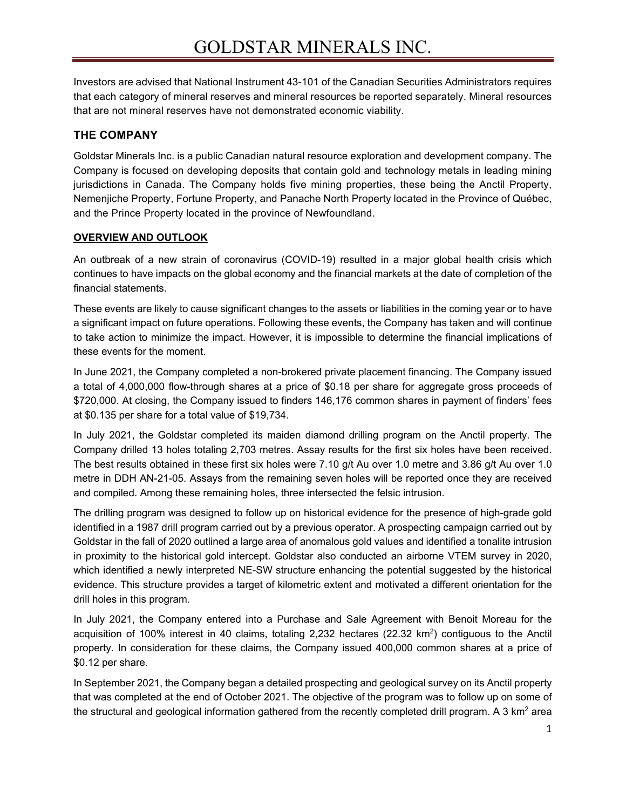Investors are advised that National Instrument 43-101 of the Canadian Securities Administrators requires that each category of mineral reserves and mineral resources be reported separately. Mineral resources that are not mineral reserves have not demonstrated economic viability.

# **THE COMPANY**

Goldstar Minerals Inc. is a public Canadian natural resource exploration and development company. The Company is focused on developing deposits that contain gold and technology metals in leading mining jurisdictions in Canada. The Company holds five mining properties, these being the Anctil Property, Nemenjiche Property, Fortune Property, and Panache North Property located in the Province of Québec, and the Prince Property located in the province of Newfoundland.

#### **OVERVIEW AND OUTLOOK**

An outbreak of a new strain of coronavirus (COVID-19) resulted in a major global health crisis which continues to have impacts on the global economy and the financial markets at the date of completion of the financial statements.

These events are likely to cause significant changes to the assets or liabilities in the coming year or to have a significant impact on future operations. Following these events, the Company has taken and will continue to take action to minimize the impact. However, it is impossible to determine the financial implications of these events for the moment.

In June 2021, the Company completed a non-brokered private placement financing. The Company issued a total of 4,000,000 flow-through shares at a price of \$0.18 per share for aggregate gross proceeds of \$720,000. At closing, the Company issued to finders 146,176 common shares in payment of finders' fees at \$0.135 per share for a total value of \$19,734.

In July 2021, the Goldstar completed its maiden diamond drilling program on the Anctil property. The Company drilled 13 holes totaling 2,703 metres. Assay results for the first six holes have been received. The best results obtained in these first six holes were 7.10 g/t Au over 1.0 metre and 3.86 g/t Au over 1.0 metre in DDH AN-21-05. Assays from the remaining seven holes will be reported once they are received and compiled. Among these remaining holes, three intersected the felsic intrusion.

The drilling program was designed to follow up on historical evidence for the presence of high-grade gold identified in a 1987 drill program carried out by a previous operator. A prospecting campaign carried out by Goldstar in the fall of 2020 outlined a large area of anomalous gold values and identified a tonalite intrusion in proximity to the historical gold intercept. Goldstar also conducted an airborne VTEM survey in 2020, which identified a newly interpreted NE-SW structure enhancing the potential suggested by the historical evidence. This structure provides a target of kilometric extent and motivated a different orientation for the drill holes in this program.

In July 2021, the Company entered into a Purchase and Sale Agreement with Benoit Moreau for the acquisition of 100% interest in 40 claims, totaling 2,232 hectares (22.32 km2) contiguous to the Anctil property. In consideration for these claims, the Company issued 400,000 common shares at a price of \$0.12 per share.

In September 2021, the Company began a detailed prospecting and geological survey on its Anctil property that was completed at the end of October 2021. The objective of the program was to follow up on some of the structural and geological information gathered from the recently completed drill program. A 3 km<sup>2</sup> area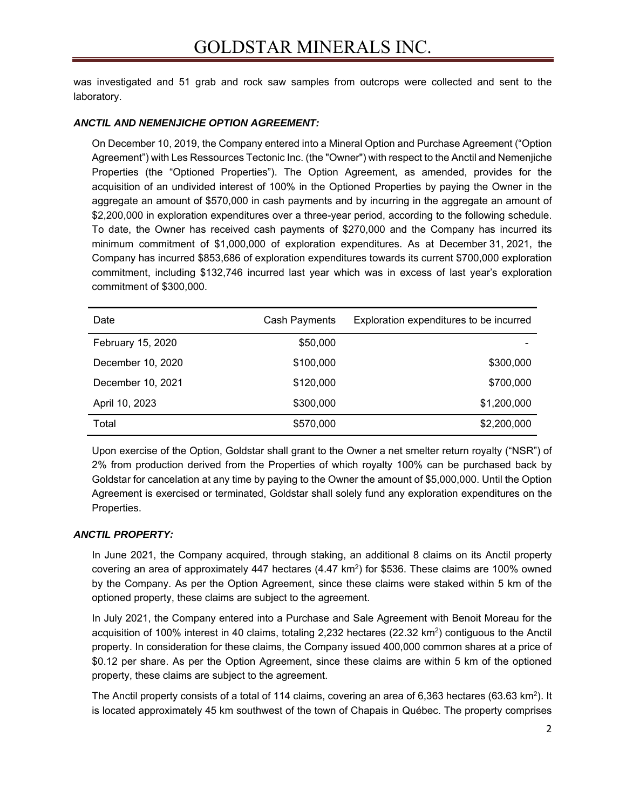was investigated and 51 grab and rock saw samples from outcrops were collected and sent to the laboratory.

#### *ANCTIL AND NEMENJICHE OPTION AGREEMENT:*

On December 10, 2019, the Company entered into a Mineral Option and Purchase Agreement ("Option Agreement") with Les Ressources Tectonic Inc. (the "Owner") with respect to the Anctil and Nemenjiche Properties (the "Optioned Properties"). The Option Agreement, as amended, provides for the acquisition of an undivided interest of 100% in the Optioned Properties by paying the Owner in the aggregate an amount of \$570,000 in cash payments and by incurring in the aggregate an amount of \$2,200,000 in exploration expenditures over a three-year period, according to the following schedule. To date, the Owner has received cash payments of \$270,000 and the Company has incurred its minimum commitment of \$1,000,000 of exploration expenditures. As at December 31, 2021, the Company has incurred \$853,686 of exploration expenditures towards its current \$700,000 exploration commitment, including \$132,746 incurred last year which was in excess of last year's exploration commitment of \$300,000.

| Date              | Cash Payments | Exploration expenditures to be incurred |
|-------------------|---------------|-----------------------------------------|
| February 15, 2020 | \$50,000      |                                         |
| December 10, 2020 | \$100,000     | \$300,000                               |
| December 10, 2021 | \$120,000     | \$700,000                               |
| April 10, 2023    | \$300,000     | \$1,200,000                             |
| Total             | \$570,000     | \$2,200,000                             |

Upon exercise of the Option, Goldstar shall grant to the Owner a net smelter return royalty ("NSR") of 2% from production derived from the Properties of which royalty 100% can be purchased back by Goldstar for cancelation at any time by paying to the Owner the amount of \$5,000,000. Until the Option Agreement is exercised or terminated, Goldstar shall solely fund any exploration expenditures on the Properties.

# *ANCTIL PROPERTY:*

In June 2021, the Company acquired, through staking, an additional 8 claims on its Anctil property covering an area of approximately 447 hectares  $(4.47 \text{ km}^2)$  for \$536. These claims are 100% owned by the Company. As per the Option Agreement, since these claims were staked within 5 km of the optioned property, these claims are subject to the agreement.

In July 2021, the Company entered into a Purchase and Sale Agreement with Benoit Moreau for the acquisition of 100% interest in 40 claims, totaling 2,232 hectares (22.32  $km^2$ ) contiguous to the Anctil property. In consideration for these claims, the Company issued 400,000 common shares at a price of \$0.12 per share. As per the Option Agreement, since these claims are within 5 km of the optioned property, these claims are subject to the agreement.

The Anctil property consists of a total of 114 claims, covering an area of 6,363 hectares (63.63 km<sup>2</sup>). It is located approximately 45 km southwest of the town of Chapais in Québec. The property comprises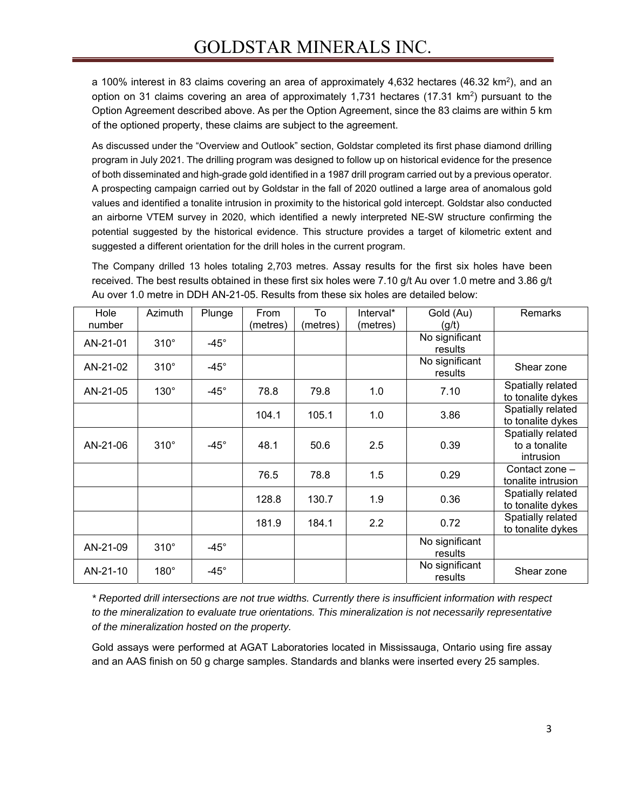a 100% interest in 83 claims covering an area of approximately 4,632 hectares (46.32 km<sup>2</sup>), and an option on 31 claims covering an area of approximately 1,731 hectares  $(17.31 \text{ km}^2)$  pursuant to the Option Agreement described above. As per the Option Agreement, since the 83 claims are within 5 km of the optioned property, these claims are subject to the agreement.

As discussed under the "Overview and Outlook" section, Goldstar completed its first phase diamond drilling program in July 2021. The drilling program was designed to follow up on historical evidence for the presence of both disseminated and high-grade gold identified in a 1987 drill program carried out by a previous operator. A prospecting campaign carried out by Goldstar in the fall of 2020 outlined a large area of anomalous gold values and identified a tonalite intrusion in proximity to the historical gold intercept. Goldstar also conducted an airborne VTEM survey in 2020, which identified a newly interpreted NE-SW structure confirming the potential suggested by the historical evidence. This structure provides a target of kilometric extent and suggested a different orientation for the drill holes in the current program.

The Company drilled 13 holes totaling 2,703 metres. Assay results for the first six holes have been received. The best results obtained in these first six holes were 7.10 g/t Au over 1.0 metre and 3.86 g/t Au over 1.0 metre in DDH AN-21-05. Results from these six holes are detailed below:

| Hole     | Azimuth     | Plunge      | From     | To       | Interval* | Gold (Au)                 | Remarks                                |
|----------|-------------|-------------|----------|----------|-----------|---------------------------|----------------------------------------|
| number   |             |             | (metres) | (metres) | (metres)  | (g/t)                     |                                        |
| AN-21-01 | $310^\circ$ | $-45^\circ$ |          |          |           | No significant            |                                        |
|          |             |             |          |          |           | results                   |                                        |
| AN-21-02 | $310^\circ$ | $-45^\circ$ |          |          |           | No significant<br>results | Shear zone                             |
| AN-21-05 | $130^\circ$ | $-45^\circ$ | 78.8     | 79.8     | 1.0       | 7.10                      | Spatially related<br>to tonalite dykes |
|          |             |             | 104.1    | 105.1    | 1.0       | 3.86                      | Spatially related<br>to tonalite dykes |
| AN-21-06 | $310^\circ$ | $-45^\circ$ | 48.1     | 50.6     | 2.5       | 0.39                      | Spatially related<br>to a tonalite     |
|          |             |             |          |          |           |                           | intrusion                              |
|          |             |             | 76.5     | 78.8     | 1.5       | 0.29                      | Contact zone -                         |
|          |             |             |          |          |           |                           | tonalite intrusion                     |
|          |             |             | 128.8    | 130.7    | 1.9       | 0.36                      | Spatially related<br>to tonalite dykes |
|          |             |             | 181.9    | 184.1    | 2.2       | 0.72                      | Spatially related<br>to tonalite dykes |
| AN-21-09 | $310^\circ$ | $-45^\circ$ |          |          |           | No significant            |                                        |
|          |             |             |          |          |           | results                   |                                        |
| AN-21-10 | $180^\circ$ | $-45^\circ$ |          |          |           | No significant<br>results | Shear zone                             |

*\* Reported drill intersections are not true widths. Currently there is insufficient information with respect to the mineralization to evaluate true orientations. This mineralization is not necessarily representative of the mineralization hosted on the property.*

Gold assays were performed at AGAT Laboratories located in Mississauga, Ontario using fire assay and an AAS finish on 50 g charge samples. Standards and blanks were inserted every 25 samples.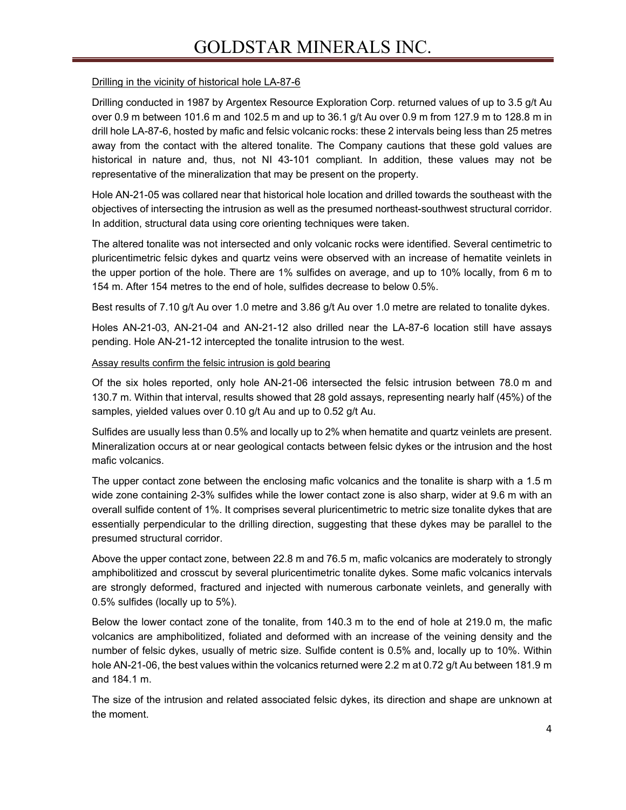# GOLDSTAR MINERALS INC.

#### Drilling in the vicinity of historical hole LA-87-6

Drilling conducted in 1987 by Argentex Resource Exploration Corp. returned values of up to 3.5 g/t Au over 0.9 m between 101.6 m and 102.5 m and up to 36.1 g/t Au over 0.9 m from 127.9 m to 128.8 m in drill hole LA-87-6, hosted by mafic and felsic volcanic rocks: these 2 intervals being less than 25 metres away from the contact with the altered tonalite. The Company cautions that these gold values are historical in nature and, thus, not NI 43-101 compliant. In addition, these values may not be representative of the mineralization that may be present on the property.

Hole AN-21-05 was collared near that historical hole location and drilled towards the southeast with the objectives of intersecting the intrusion as well as the presumed northeast-southwest structural corridor. In addition, structural data using core orienting techniques were taken.

The altered tonalite was not intersected and only volcanic rocks were identified. Several centimetric to pluricentimetric felsic dykes and quartz veins were observed with an increase of hematite veinlets in the upper portion of the hole. There are 1% sulfides on average, and up to 10% locally, from 6 m to 154 m. After 154 metres to the end of hole, sulfides decrease to below 0.5%.

Best results of 7.10 g/t Au over 1.0 metre and 3.86 g/t Au over 1.0 metre are related to tonalite dykes.

Holes AN-21-03, AN-21-04 and AN-21-12 also drilled near the LA-87-6 location still have assays pending. Hole AN-21-12 intercepted the tonalite intrusion to the west.

#### Assay results confirm the felsic intrusion is gold bearing

Of the six holes reported, only hole AN-21-06 intersected the felsic intrusion between 78.0 m and 130.7 m. Within that interval, results showed that 28 gold assays, representing nearly half (45%) of the samples, yielded values over 0.10 g/t Au and up to 0.52 g/t Au.

Sulfides are usually less than 0.5% and locally up to 2% when hematite and quartz veinlets are present. Mineralization occurs at or near geological contacts between felsic dykes or the intrusion and the host mafic volcanics.

The upper contact zone between the enclosing mafic volcanics and the tonalite is sharp with a 1.5 m wide zone containing 2-3% sulfides while the lower contact zone is also sharp, wider at 9.6 m with an overall sulfide content of 1%. It comprises several pluricentimetric to metric size tonalite dykes that are essentially perpendicular to the drilling direction, suggesting that these dykes may be parallel to the presumed structural corridor.

Above the upper contact zone, between 22.8 m and 76.5 m, mafic volcanics are moderately to strongly amphibolitized and crosscut by several pluricentimetric tonalite dykes. Some mafic volcanics intervals are strongly deformed, fractured and injected with numerous carbonate veinlets, and generally with 0.5% sulfides (locally up to 5%).

Below the lower contact zone of the tonalite, from 140.3 m to the end of hole at 219.0 m, the mafic volcanics are amphibolitized, foliated and deformed with an increase of the veining density and the number of felsic dykes, usually of metric size. Sulfide content is 0.5% and, locally up to 10%. Within hole AN-21-06, the best values within the volcanics returned were 2.2 m at 0.72 g/t Au between 181.9 m and 184.1 m.

The size of the intrusion and related associated felsic dykes, its direction and shape are unknown at the moment.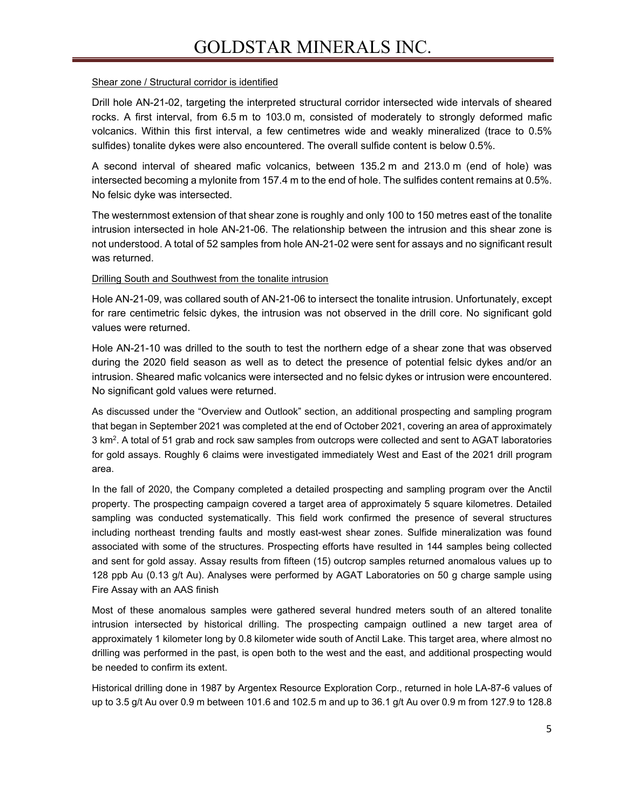#### Shear zone / Structural corridor is identified

Drill hole AN-21-02, targeting the interpreted structural corridor intersected wide intervals of sheared rocks. A first interval, from 6.5 m to 103.0 m, consisted of moderately to strongly deformed mafic volcanics. Within this first interval, a few centimetres wide and weakly mineralized (trace to 0.5% sulfides) tonalite dykes were also encountered. The overall sulfide content is below 0.5%.

A second interval of sheared mafic volcanics, between 135.2 m and 213.0 m (end of hole) was intersected becoming a mylonite from 157.4 m to the end of hole. The sulfides content remains at 0.5%. No felsic dyke was intersected.

The westernmost extension of that shear zone is roughly and only 100 to 150 metres east of the tonalite intrusion intersected in hole AN-21-06. The relationship between the intrusion and this shear zone is not understood. A total of 52 samples from hole AN-21-02 were sent for assays and no significant result was returned.

#### Drilling South and Southwest from the tonalite intrusion

Hole AN-21-09, was collared south of AN-21-06 to intersect the tonalite intrusion. Unfortunately, except for rare centimetric felsic dykes, the intrusion was not observed in the drill core. No significant gold values were returned.

Hole AN-21-10 was drilled to the south to test the northern edge of a shear zone that was observed during the 2020 field season as well as to detect the presence of potential felsic dykes and/or an intrusion. Sheared mafic volcanics were intersected and no felsic dykes or intrusion were encountered. No significant gold values were returned.

As discussed under the "Overview and Outlook" section, an additional prospecting and sampling program that began in September 2021 was completed at the end of October 2021, covering an area of approximately 3 km2 . A total of 51 grab and rock saw samples from outcrops were collected and sent to AGAT laboratories for gold assays. Roughly 6 claims were investigated immediately West and East of the 2021 drill program area.

In the fall of 2020, the Company completed a detailed prospecting and sampling program over the Anctil property. The prospecting campaign covered a target area of approximately 5 square kilometres. Detailed sampling was conducted systematically. This field work confirmed the presence of several structures including northeast trending faults and mostly east-west shear zones. Sulfide mineralization was found associated with some of the structures. Prospecting efforts have resulted in 144 samples being collected and sent for gold assay. Assay results from fifteen (15) outcrop samples returned anomalous values up to 128 ppb Au (0.13 g/t Au). Analyses were performed by AGAT Laboratories on 50 g charge sample using Fire Assay with an AAS finish

Most of these anomalous samples were gathered several hundred meters south of an altered tonalite intrusion intersected by historical drilling. The prospecting campaign outlined a new target area of approximately 1 kilometer long by 0.8 kilometer wide south of Anctil Lake. This target area, where almost no drilling was performed in the past, is open both to the west and the east, and additional prospecting would be needed to confirm its extent.

Historical drilling done in 1987 by Argentex Resource Exploration Corp., returned in hole LA-87-6 values of up to 3.5 g/t Au over 0.9 m between 101.6 and 102.5 m and up to 36.1 g/t Au over 0.9 m from 127.9 to 128.8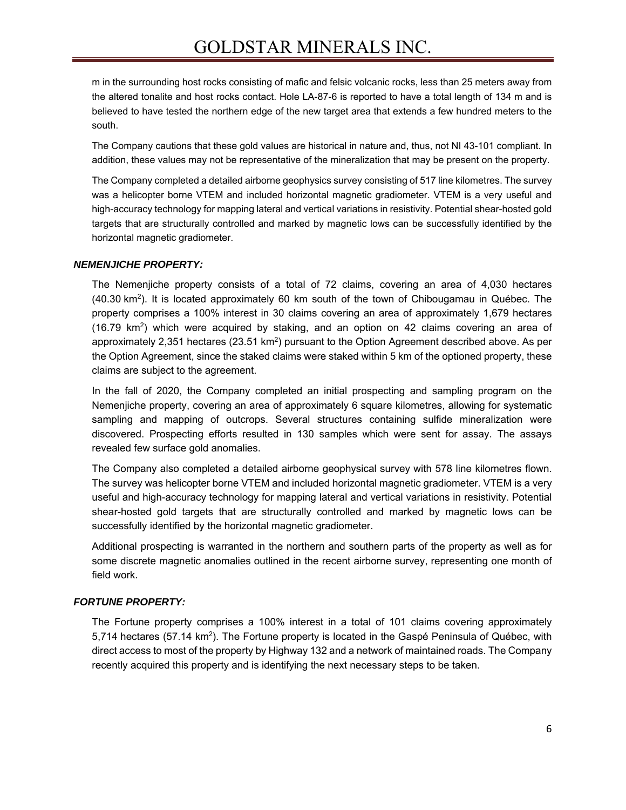m in the surrounding host rocks consisting of mafic and felsic volcanic rocks, less than 25 meters away from the altered tonalite and host rocks contact. Hole LA-87-6 is reported to have a total length of 134 m and is believed to have tested the northern edge of the new target area that extends a few hundred meters to the south.

The Company cautions that these gold values are historical in nature and, thus, not NI 43-101 compliant. In addition, these values may not be representative of the mineralization that may be present on the property.

The Company completed a detailed airborne geophysics survey consisting of 517 line kilometres. The survey was a helicopter borne VTEM and included horizontal magnetic gradiometer. VTEM is a very useful and high-accuracy technology for mapping lateral and vertical variations in resistivity. Potential shear-hosted gold targets that are structurally controlled and marked by magnetic lows can be successfully identified by the horizontal magnetic gradiometer.

#### *NEMENJICHE PROPERTY:*

The Nemenjiche property consists of a total of 72 claims, covering an area of 4,030 hectares (40.30 km<sup>2</sup>). It is located approximately 60 km south of the town of Chibougamau in Québec. The property comprises a 100% interest in 30 claims covering an area of approximately 1,679 hectares (16.79 km<sup>2</sup>) which were acquired by staking, and an option on 42 claims covering an area of approximately 2,351 hectares ( $23.51 \text{ km}^2$ ) pursuant to the Option Agreement described above. As per the Option Agreement, since the staked claims were staked within 5 km of the optioned property, these claims are subject to the agreement.

In the fall of 2020, the Company completed an initial prospecting and sampling program on the Nemenjiche property, covering an area of approximately 6 square kilometres, allowing for systematic sampling and mapping of outcrops. Several structures containing sulfide mineralization were discovered. Prospecting efforts resulted in 130 samples which were sent for assay. The assays revealed few surface gold anomalies.

The Company also completed a detailed airborne geophysical survey with 578 line kilometres flown. The survey was helicopter borne VTEM and included horizontal magnetic gradiometer. VTEM is a very useful and high-accuracy technology for mapping lateral and vertical variations in resistivity. Potential shear-hosted gold targets that are structurally controlled and marked by magnetic lows can be successfully identified by the horizontal magnetic gradiometer.

Additional prospecting is warranted in the northern and southern parts of the property as well as for some discrete magnetic anomalies outlined in the recent airborne survey, representing one month of field work.

#### *FORTUNE PROPERTY:*

The Fortune property comprises a 100% interest in a total of 101 claims covering approximately 5,714 hectares (57.14 km<sup>2</sup>). The Fortune property is located in the Gaspé Peninsula of Québec, with direct access to most of the property by Highway 132 and a network of maintained roads. The Company recently acquired this property and is identifying the next necessary steps to be taken.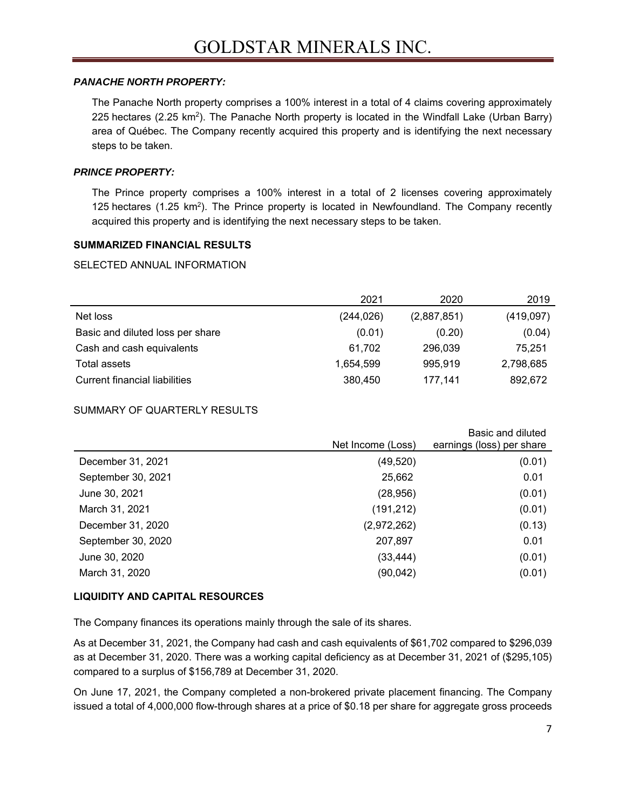#### *PANACHE NORTH PROPERTY:*

The Panache North property comprises a 100% interest in a total of 4 claims covering approximately 225 hectares (2.25 km<sup>2</sup>). The Panache North property is located in the Windfall Lake (Urban Barry) area of Québec. The Company recently acquired this property and is identifying the next necessary steps to be taken.

### *PRINCE PROPERTY:*

The Prince property comprises a 100% interest in a total of 2 licenses covering approximately 125 hectares (1.25 km<sup>2</sup>). The Prince property is located in Newfoundland. The Company recently acquired this property and is identifying the next necessary steps to be taken.

#### **SUMMARIZED FINANCIAL RESULTS**

#### SELECTED ANNUAL INFORMATION

|                                  | 2021      | 2020        | 2019      |
|----------------------------------|-----------|-------------|-----------|
| Net loss                         | (244,026) | (2,887,851) | (419,097) |
| Basic and diluted loss per share | (0.01)    | (0.20)      | (0.04)    |
| Cash and cash equivalents        | 61,702    | 296,039     | 75,251    |
| Total assets                     | 1,654,599 | 995.919     | 2,798,685 |
| Current financial liabilities    | 380,450   | 177.141     | 892,672   |

#### SUMMARY OF QUARTERLY RESULTS

|                    | Net Income (Loss) | Basic and diluted<br>earnings (loss) per share |
|--------------------|-------------------|------------------------------------------------|
| December 31, 2021  | (49, 520)         | (0.01)                                         |
| September 30, 2021 | 25,662            | 0.01                                           |
| June 30, 2021      | (28, 956)         | (0.01)                                         |
| March 31, 2021     | (191, 212)        | (0.01)                                         |
| December 31, 2020  | (2,972,262)       | (0.13)                                         |
| September 30, 2020 | 207,897           | 0.01                                           |
| June 30, 2020      | (33, 444)         | (0.01)                                         |
| March 31, 2020     | (90, 042)         | (0.01)                                         |
|                    |                   |                                                |

#### **LIQUIDITY AND CAPITAL RESOURCES**

The Company finances its operations mainly through the sale of its shares.

As at December 31, 2021, the Company had cash and cash equivalents of \$61,702 compared to \$296,039 as at December 31, 2020. There was a working capital deficiency as at December 31, 2021 of (\$295,105) compared to a surplus of \$156,789 at December 31, 2020.

On June 17, 2021, the Company completed a non-brokered private placement financing. The Company issued a total of 4,000,000 flow-through shares at a price of \$0.18 per share for aggregate gross proceeds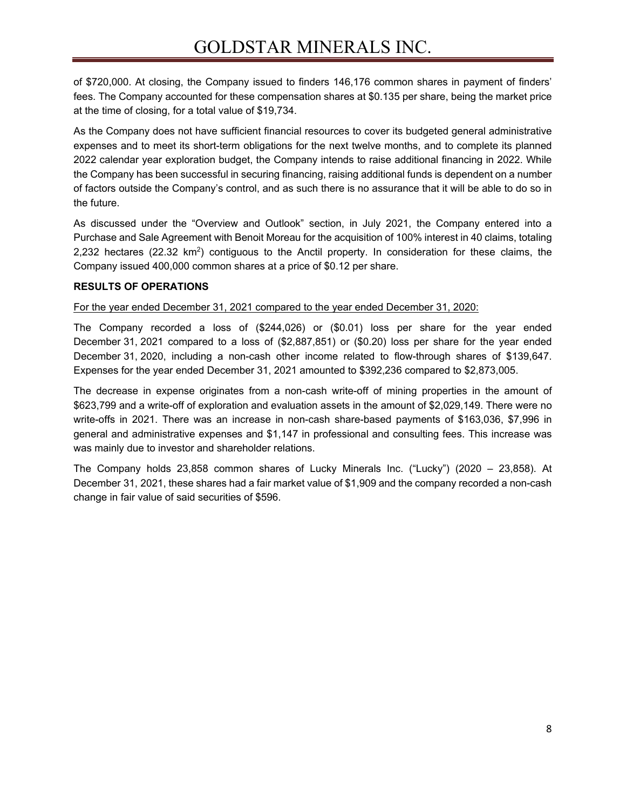of \$720,000. At closing, the Company issued to finders 146,176 common shares in payment of finders' fees. The Company accounted for these compensation shares at \$0.135 per share, being the market price at the time of closing, for a total value of \$19,734.

As the Company does not have sufficient financial resources to cover its budgeted general administrative expenses and to meet its short-term obligations for the next twelve months, and to complete its planned 2022 calendar year exploration budget, the Company intends to raise additional financing in 2022. While the Company has been successful in securing financing, raising additional funds is dependent on a number of factors outside the Company's control, and as such there is no assurance that it will be able to do so in the future.

As discussed under the "Overview and Outlook" section, in July 2021, the Company entered into a Purchase and Sale Agreement with Benoit Moreau for the acquisition of 100% interest in 40 claims, totaling 2,232 hectares (22.32  $km^2$ ) contiguous to the Anctil property. In consideration for these claims, the Company issued 400,000 common shares at a price of \$0.12 per share.

#### **RESULTS OF OPERATIONS**

For the year ended December 31, 2021 compared to the year ended December 31, 2020:

The Company recorded a loss of (\$244,026) or (\$0.01) loss per share for the year ended December 31, 2021 compared to a loss of (\$2,887,851) or (\$0.20) loss per share for the year ended December 31, 2020, including a non-cash other income related to flow-through shares of \$139,647. Expenses for the year ended December 31, 2021 amounted to \$392,236 compared to \$2,873,005.

The decrease in expense originates from a non-cash write-off of mining properties in the amount of \$623,799 and a write-off of exploration and evaluation assets in the amount of \$2,029,149. There were no write-offs in 2021. There was an increase in non-cash share-based payments of \$163,036, \$7,996 in general and administrative expenses and \$1,147 in professional and consulting fees. This increase was was mainly due to investor and shareholder relations.

The Company holds 23,858 common shares of Lucky Minerals Inc. ("Lucky") (2020 – 23,858). At December 31, 2021, these shares had a fair market value of \$1,909 and the company recorded a non-cash change in fair value of said securities of \$596.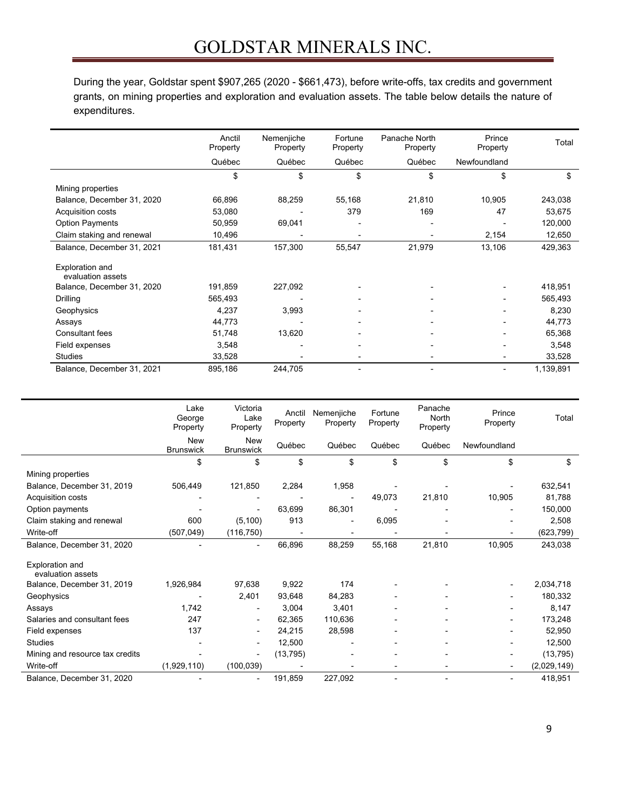# GOLDSTAR MINERALS INC.

During the year, Goldstar spent \$907,265 (2020 - \$661,473), before write-offs, tax credits and government grants, on mining properties and exploration and evaluation assets. The table below details the nature of expenditures.

|                                      | Anctil<br>Property | Nemenjiche<br>Property | Fortune<br>Property | Panache North<br>Property | Prince<br>Property       | Total     |
|--------------------------------------|--------------------|------------------------|---------------------|---------------------------|--------------------------|-----------|
|                                      | Québec             | Québec                 | Québec              | Québec                    | Newfoundland             |           |
|                                      | \$                 | \$                     | \$                  | \$                        | \$                       | \$        |
| Mining properties                    |                    |                        |                     |                           |                          |           |
| Balance, December 31, 2020           | 66,896             | 88,259                 | 55,168              | 21,810                    | 10,905                   | 243,038   |
| Acquisition costs                    | 53,080             |                        | 379                 | 169                       | 47                       | 53,675    |
| <b>Option Payments</b>               | 50,959             | 69,041                 |                     |                           |                          | 120,000   |
| Claim staking and renewal            | 10,496             |                        |                     |                           | 2,154                    | 12,650    |
| Balance, December 31, 2021           | 181,431            | 157,300                | 55,547              | 21,979                    | 13,106                   | 429,363   |
| Exploration and<br>evaluation assets |                    |                        |                     |                           |                          |           |
| Balance, December 31, 2020           | 191,859            | 227,092                |                     |                           |                          | 418,951   |
| Drilling                             | 565,493            |                        |                     |                           |                          | 565,493   |
| Geophysics                           | 4,237              | 3,993                  |                     |                           |                          | 8,230     |
| Assays                               | 44,773             |                        |                     |                           |                          | 44,773    |
| <b>Consultant fees</b>               | 51,748             | 13,620                 |                     |                           |                          | 65,368    |
| Field expenses                       | 3,548              |                        |                     |                           |                          | 3,548     |
| <b>Studies</b>                       | 33,528             |                        |                     |                           |                          | 33,528    |
| Balance, December 31, 2021           | 895,186            | 244,705                |                     |                           | $\overline{\phantom{0}}$ | 1,139,891 |

|                                      | Lake<br>George<br>Property     | Victoria<br>Lake<br>Property   | Anctil<br>Property | Nemenjiche<br>Property | Fortune<br>Property | Panache<br>North<br>Property | Prince<br>Property | Total       |
|--------------------------------------|--------------------------------|--------------------------------|--------------------|------------------------|---------------------|------------------------------|--------------------|-------------|
|                                      | <b>New</b><br><b>Brunswick</b> | <b>New</b><br><b>Brunswick</b> | Québec             | Québec                 | Québec              | Québec                       | Newfoundland       |             |
|                                      | \$                             | \$                             | \$                 | \$                     | \$                  | \$                           | \$                 | \$          |
| Mining properties                    |                                |                                |                    |                        |                     |                              |                    |             |
| Balance, December 31, 2019           | 506,449                        | 121,850                        | 2,284              | 1,958                  |                     |                              |                    | 632,541     |
| Acquisition costs                    |                                |                                |                    |                        | 49,073              | 21,810                       | 10,905             | 81,788      |
| Option payments                      |                                |                                | 63,699             | 86,301                 |                     |                              |                    | 150,000     |
| Claim staking and renewal            | 600                            | (5, 100)                       | 913                | $\blacksquare$         | 6,095               |                              |                    | 2,508       |
| Write-off                            | (507, 049)                     | (116, 750)                     |                    |                        |                     |                              |                    | (623, 799)  |
| Balance, December 31, 2020           |                                | $\overline{\phantom{a}}$       | 66,896             | 88,259                 | 55,168              | 21,810                       | 10,905             | 243,038     |
| Exploration and<br>evaluation assets |                                |                                |                    |                        |                     |                              |                    |             |
| Balance, December 31, 2019           | 1,926,984                      | 97,638                         | 9,922              | 174                    |                     |                              |                    | 2,034,718   |
| Geophysics                           |                                | 2,401                          | 93,648             | 84,283                 |                     |                              |                    | 180,332     |
| Assays                               | 1,742                          |                                | 3,004              | 3,401                  |                     |                              |                    | 8,147       |
| Salaries and consultant fees         | 247                            |                                | 62,365             | 110,636                |                     |                              |                    | 173,248     |
| Field expenses                       | 137                            |                                | 24,215             | 28,598                 |                     |                              |                    | 52,950      |
| <b>Studies</b>                       |                                |                                | 12,500             |                        |                     |                              |                    | 12,500      |
| Mining and resource tax credits      |                                |                                | (13, 795)          |                        |                     |                              |                    | (13, 795)   |
| Write-off                            | (1,929,110)                    | (100, 039)                     |                    |                        |                     |                              | -                  | (2,029,149) |
| Balance, December 31, 2020           |                                | $\overline{\phantom{0}}$       | 191,859            | 227,092                |                     | $\overline{\phantom{0}}$     | ۰                  | 418,951     |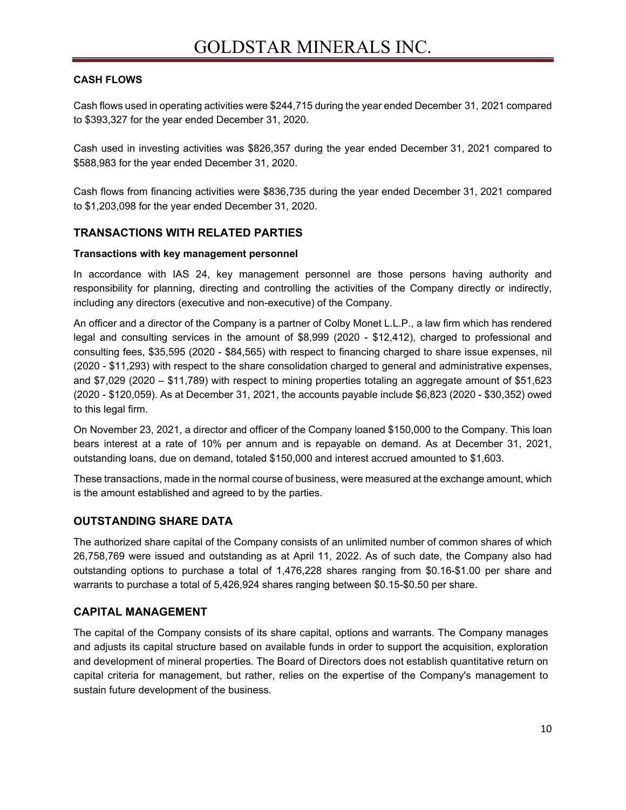#### **CASH FLOWS**

Cash flows used in operating activities were \$244,715 during the year ended December 31, 2021 compared to \$393,327 for the year ended December 31, 2020.

Cash used in investing activities was \$826,357 during the year ended December 31, 2021 compared to \$588,983 for the year ended December 31, 2020.

Cash flows from financing activities were \$836,735 during the year ended December 31, 2021 compared to \$1,203,098 for the year ended December 31, 2020.

# **TRANSACTIONS WITH RELATED PARTIES**

#### **Transactions with key management personnel**

In accordance with IAS 24, key management personnel are those persons having authority and responsibility for planning, directing and controlling the activities of the Company directly or indirectly, including any directors (executive and non-executive) of the Company.

An officer and a director of the Company is a partner of Colby Monet L.L.P., a law firm which has rendered legal and consulting services in the amount of \$8,999 (2020 - \$12,412), charged to professional and consulting fees, \$35,595 (2020 - \$84,565) with respect to financing charged to share issue expenses, nil (2020 - \$11,293) with respect to the share consolidation charged to general and administrative expenses, and \$7,029 (2020 – \$11,789) with respect to mining properties totaling an aggregate amount of \$51,623 (2020 - \$120,059). As at December 31, 2021, the accounts payable include \$6,823 (2020 - \$30,352) owed to this legal firm.

On November 23, 2021, a director and officer of the Company loaned \$150,000 to the Company. This loan bears interest at a rate of 10% per annum and is repayable on demand. As at December 31, 2021, outstanding loans, due on demand, totaled \$150,000 and interest accrued amounted to \$1,603.

These transactions, made in the normal course of business, were measured at the exchange amount, which is the amount established and agreed to by the parties.

# **OUTSTANDING SHARE DATA**

The authorized share capital of the Company consists of an unlimited number of common shares of which 26,758,769 were issued and outstanding as at April 11, 2022. As of such date, the Company also had outstanding options to purchase a total of 1,476,228 shares ranging from \$0.16-\$1.00 per share and warrants to purchase a total of 5,426,924 shares ranging between \$0.15-\$0.50 per share.

# **CAPITAL MANAGEMENT**

The capital of the Company consists of its share capital, options and warrants. The Company manages and adjusts its capital structure based on available funds in order to support the acquisition, exploration and development of mineral properties. The Board of Directors does not establish quantitative return on capital criteria for management, but rather, relies on the expertise of the Company's management to sustain future development of the business.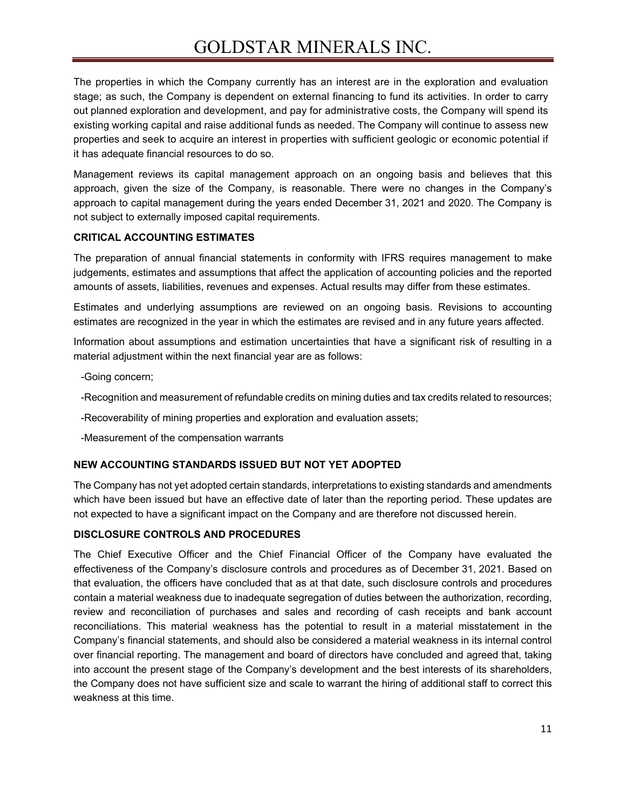# GOLDSTAR MINERALS INC.

The properties in which the Company currently has an interest are in the exploration and evaluation stage; as such, the Company is dependent on external financing to fund its activities. In order to carry out planned exploration and development, and pay for administrative costs, the Company will spend its existing working capital and raise additional funds as needed. The Company will continue to assess new properties and seek to acquire an interest in properties with sufficient geologic or economic potential if it has adequate financial resources to do so.

Management reviews its capital management approach on an ongoing basis and believes that this approach, given the size of the Company, is reasonable. There were no changes in the Company's approach to capital management during the years ended December 31, 2021 and 2020. The Company is not subject to externally imposed capital requirements.

#### **CRITICAL ACCOUNTING ESTIMATES**

The preparation of annual financial statements in conformity with IFRS requires management to make judgements, estimates and assumptions that affect the application of accounting policies and the reported amounts of assets, liabilities, revenues and expenses. Actual results may differ from these estimates.

Estimates and underlying assumptions are reviewed on an ongoing basis. Revisions to accounting estimates are recognized in the year in which the estimates are revised and in any future years affected.

Information about assumptions and estimation uncertainties that have a significant risk of resulting in a material adjustment within the next financial year are as follows:

- -Going concern;
- -Recognition and measurement of refundable credits on mining duties and tax credits related to resources;
- -Recoverability of mining properties and exploration and evaluation assets;
- -Measurement of the compensation warrants

#### **NEW ACCOUNTING STANDARDS ISSUED BUT NOT YET ADOPTED**

The Company has not yet adopted certain standards, interpretations to existing standards and amendments which have been issued but have an effective date of later than the reporting period. These updates are not expected to have a significant impact on the Company and are therefore not discussed herein.

#### **DISCLOSURE CONTROLS AND PROCEDURES**

The Chief Executive Officer and the Chief Financial Officer of the Company have evaluated the effectiveness of the Company's disclosure controls and procedures as of December 31, 2021. Based on that evaluation, the officers have concluded that as at that date, such disclosure controls and procedures contain a material weakness due to inadequate segregation of duties between the authorization, recording, review and reconciliation of purchases and sales and recording of cash receipts and bank account reconciliations. This material weakness has the potential to result in a material misstatement in the Company's financial statements, and should also be considered a material weakness in its internal control over financial reporting. The management and board of directors have concluded and agreed that, taking into account the present stage of the Company's development and the best interests of its shareholders, the Company does not have sufficient size and scale to warrant the hiring of additional staff to correct this weakness at this time.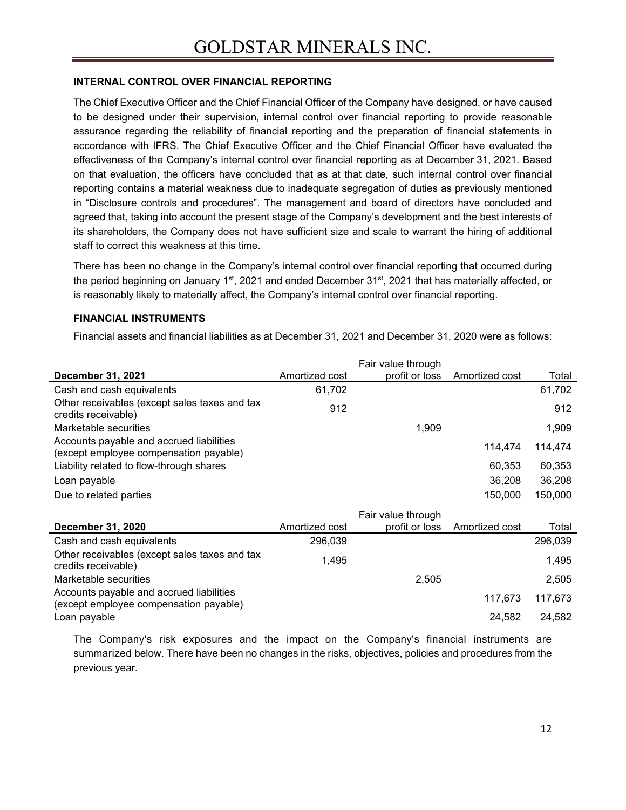#### **INTERNAL CONTROL OVER FINANCIAL REPORTING**

The Chief Executive Officer and the Chief Financial Officer of the Company have designed, or have caused to be designed under their supervision, internal control over financial reporting to provide reasonable assurance regarding the reliability of financial reporting and the preparation of financial statements in accordance with IFRS. The Chief Executive Officer and the Chief Financial Officer have evaluated the effectiveness of the Company's internal control over financial reporting as at December 31, 2021. Based on that evaluation, the officers have concluded that as at that date, such internal control over financial reporting contains a material weakness due to inadequate segregation of duties as previously mentioned in "Disclosure controls and procedures". The management and board of directors have concluded and agreed that, taking into account the present stage of the Company's development and the best interests of its shareholders, the Company does not have sufficient size and scale to warrant the hiring of additional staff to correct this weakness at this time.

There has been no change in the Company's internal control over financial reporting that occurred during the period beginning on January 1<sup>st</sup>, 2021 and ended December  $31^{st}$ , 2021 that has materially affected, or is reasonably likely to materially affect, the Company's internal control over financial reporting.

#### **FINANCIAL INSTRUMENTS**

Financial assets and financial liabilities as at December 31, 2021 and December 31, 2020 were as follows:

|                                                                                    |                | Fair value through |                |         |
|------------------------------------------------------------------------------------|----------------|--------------------|----------------|---------|
| December 31, 2021                                                                  | Amortized cost | profit or loss     | Amortized cost | Total   |
| Cash and cash equivalents                                                          | 61,702         |                    |                | 61,702  |
| Other receivables (except sales taxes and tax<br>credits receivable)               | 912            |                    |                | 912     |
| Marketable securities                                                              |                | 1,909              |                | 1,909   |
| Accounts payable and accrued liabilities<br>(except employee compensation payable) |                |                    | 114,474        | 114,474 |
| Liability related to flow-through shares                                           |                |                    | 60,353         | 60,353  |
| Loan payable                                                                       |                |                    | 36,208         | 36,208  |
| Due to related parties                                                             |                |                    | 150,000        | 150,000 |
|                                                                                    |                | Fair value through |                |         |
| December 31, 2020                                                                  | Amortized cost | profit or loss     | Amortized cost | Total   |
| Cash and cash equivalents                                                          | 296,039        |                    |                | 296,039 |
| Other receivables (except sales taxes and tax<br>credits receivable)               | 1,495          |                    |                | 1,495   |
| Marketable securities                                                              |                | 2,505              |                | 2,505   |
| Accounts payable and accrued liabilities<br>(except employee compensation payable) |                |                    | 117,673        | 117,673 |
| Loan payable                                                                       |                |                    | 24,582         | 24,582  |
|                                                                                    |                |                    |                |         |

The Company's risk exposures and the impact on the Company's financial instruments are summarized below. There have been no changes in the risks, objectives, policies and procedures from the previous year.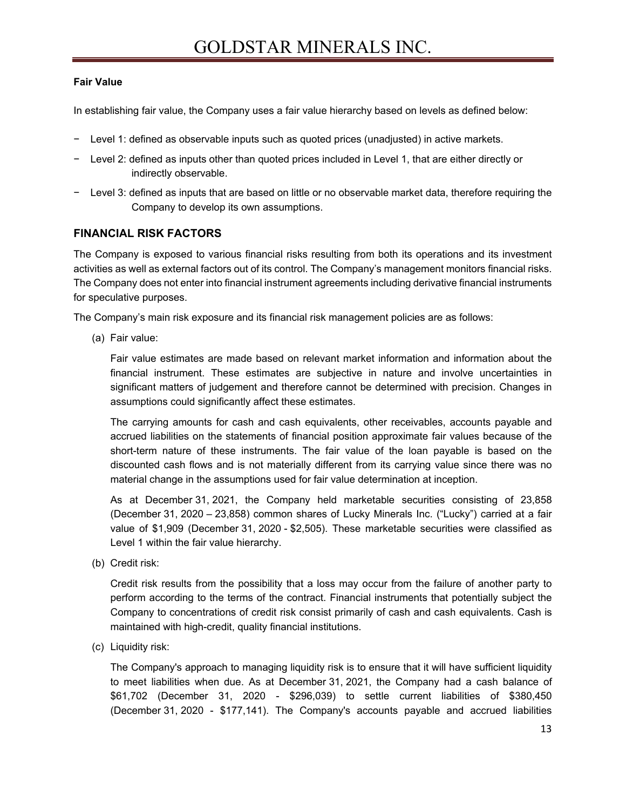### **Fair Value**

In establishing fair value, the Company uses a fair value hierarchy based on levels as defined below:

- Level 1: defined as observable inputs such as quoted prices (unadjusted) in active markets.
- Level 2: defined as inputs other than quoted prices included in Level 1, that are either directly or indirectly observable.
- Level 3: defined as inputs that are based on little or no observable market data, therefore requiring the Company to develop its own assumptions.

# **FINANCIAL RISK FACTORS**

The Company is exposed to various financial risks resulting from both its operations and its investment activities as well as external factors out of its control. The Company's management monitors financial risks. The Company does not enter into financial instrument agreements including derivative financial instruments for speculative purposes.

The Company's main risk exposure and its financial risk management policies are as follows:

(a) Fair value:

Fair value estimates are made based on relevant market information and information about the financial instrument. These estimates are subjective in nature and involve uncertainties in significant matters of judgement and therefore cannot be determined with precision. Changes in assumptions could significantly affect these estimates.

The carrying amounts for cash and cash equivalents, other receivables, accounts payable and accrued liabilities on the statements of financial position approximate fair values because of the short-term nature of these instruments. The fair value of the loan payable is based on the discounted cash flows and is not materially different from its carrying value since there was no material change in the assumptions used for fair value determination at inception.

As at December 31, 2021, the Company held marketable securities consisting of 23,858 (December 31, 2020 – 23,858) common shares of Lucky Minerals Inc. ("Lucky") carried at a fair value of \$1,909 (December 31, 2020 - \$2,505). These marketable securities were classified as Level 1 within the fair value hierarchy.

(b) Credit risk:

Credit risk results from the possibility that a loss may occur from the failure of another party to perform according to the terms of the contract. Financial instruments that potentially subject the Company to concentrations of credit risk consist primarily of cash and cash equivalents. Cash is maintained with high-credit, quality financial institutions.

(c) Liquidity risk:

The Company's approach to managing liquidity risk is to ensure that it will have sufficient liquidity to meet liabilities when due. As at December 31, 2021, the Company had a cash balance of \$61,702 (December 31, 2020 - \$296,039) to settle current liabilities of \$380,450 (December 31, 2020 - \$177,141). The Company's accounts payable and accrued liabilities